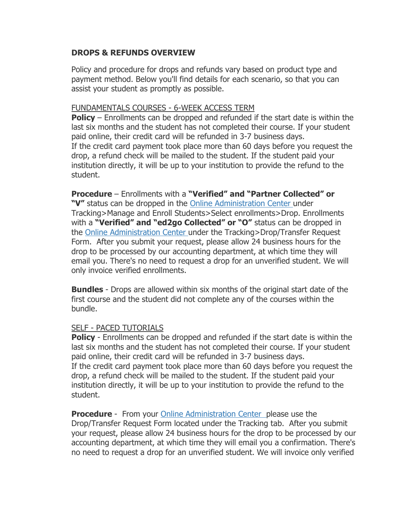## **DROPS & REFUNDS OVERVIEW**

Policy and procedure for drops and refunds vary based on product type and payment method. Below you'll find details for each scenario, so that you can assist your student as promptly as possible.

## FUNDAMENTALS COURSES - 6-WEEK ACCESS TERM

**Policy** – Enrollments can be dropped and refunded if the start date is within the last six months and the student has not completed their course. If your student paid online, their credit card will be refunded in 3-7 business days. If the credit card payment took place more than 60 days before you request the drop, a refund check will be mailed to the student. If the student paid your institution directly, it will be up to your institution to provide the refund to the student.

## **Procedure** – Enrollments with a **"Verified" and "Partner Collected" or**

**"V"** status can be dropped in the Online [Administration](http://admin.ed2go.com/) Center under Tracking>Manage and Enroll Students>Select enrollments>Drop. Enrollments with a **"Verified" and "ed2go Collected" or "O"** status can be dropped in the Online [Administration](http://admin.ed2go.com/) Center under the Tracking>Drop/Transfer Request Form. After you submit your request, please allow 24 business hours for the drop to be processed by our accounting department, at which time they will email you. There's no need to request a drop for an unverified student. We will only invoice verified enrollments.

**Bundles** - Drops are allowed within six months of the original start date of the first course and the student did not complete any of the courses within the bundle.

## SELF - PACED TUTORIALS

**Policy** - Enrollments can be dropped and refunded if the start date is within the last six months and the student has not completed their course. If your student paid online, their credit card will be refunded in 3-7 business days. If the credit card payment took place more than 60 days before you request the drop, a refund check will be mailed to the student. If the student paid your institution directly, it will be up to your institution to provide the refund to the student.

**Procedure** - From your **Online [Administration](http://admin.ed2go.com/) Center** please use the Drop/Transfer Request Form located under the Tracking tab. After you submit your request, please allow 24 business hours for the drop to be processed by our accounting department, at which time they will email you a confirmation. There's no need to request a drop for an unverified student. We will invoice only verified